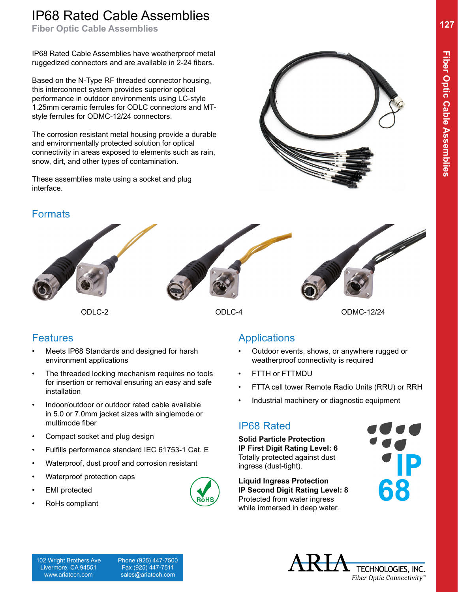# IP68 Rated Cable Assemblies

**Fiber Optic Cable Assemblies**

IP68 Rated Cable Assemblies have weatherproof metal ruggedized connectors and are available in 2-24 fibers.

Based on the N-Type RF threaded connector housing, this interconnect system provides superior optical performance in outdoor environments using LC-style 1.25mm ceramic ferrules for ODLC connectors and MTstyle ferrules for ODMC-12/24 connectors.

The corrosion resistant metal housing provide a durable and environmentally protected solution for optical connectivity in areas exposed to elements such as rain, snow, dirt, and other types of contamination.

These assemblies mate using a socket and plug interface.



#### **Formats**



ODLC-2 ODLC-4 ODMC-12/24

#### Features

- Meets IP68 Standards and designed for harsh environment applications
- The threaded locking mechanism requires no tools for insertion or removal ensuring an easy and safe installation
- Indoor/outdoor or outdoor rated cable available in 5.0 or 7.0mm jacket sizes with singlemode or multimode fiber
- Compact socket and plug design
- Fulfills performance standard IEC 61753-1 Cat. E
- Waterproof, dust proof and corrosion resistant
- Waterproof protection caps
- **EMI** protected
- RoHs compliant



## **Applications**

- Outdoor events, shows, or anywhere rugged or weatherproof connectivity is required
- FTTH or FTTMDU
- FTTA cell tower Remote Radio Units (RRU) or RRH
- Industrial machinery or diagnostic equipment

## IP68 Rated

**Solid Particle Protection IP First Digit Rating Level: 6** Totally protected against dust ingress (dust-tight).

**Liquid Ingress Protection IP Second Digit Rating Level: 8** Protected from water ingress while immersed in deep water.

TECHNOLOGIES, INC. Fiber Optic Connectivity®

102 Wright Brothers Ave Livermore, CA 94551 www.ariatech.com

 Phone (925) 447-7500 Fax (925) 447-7511 sales@ariatech.com

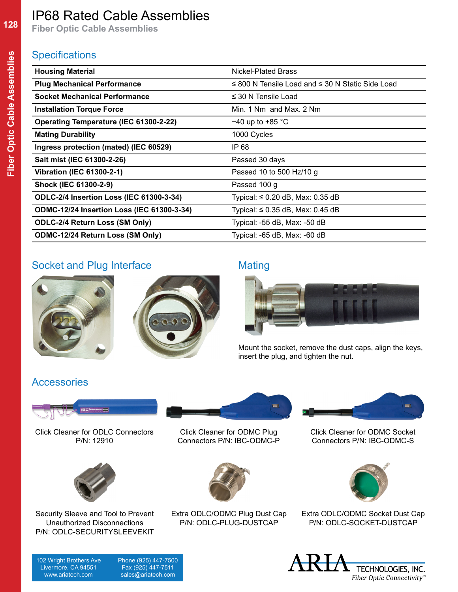# IP68 Rated Cable Assemblies

**Fiber Optic Cable Assemblies**

#### **Specifications**

| <b>Housing Material</b>                           | Nickel-Plated Brass                                        |
|---------------------------------------------------|------------------------------------------------------------|
| <b>Plug Mechanical Performance</b>                | $\leq$ 800 N Tensile Load and $\leq$ 30 N Static Side Load |
| <b>Socket Mechanical Performance</b>              | $\leq$ 30 N Tensile Load                                   |
| <b>Installation Torque Force</b>                  | Min. 1 Nm and Max. 2 Nm                                    |
| Operating Temperature (IEC 61300-2-22)            | $-40$ up to $+85$ °C                                       |
| <b>Mating Durability</b>                          | 1000 Cycles                                                |
| Ingress protection (mated) (IEC 60529)            | IP 68                                                      |
| Salt mist (IEC 61300-2-26)                        | Passed 30 days                                             |
| <b>Vibration (IEC 61300-2-1)</b>                  | Passed 10 to 500 Hz/10 g                                   |
| Shock (IEC 61300-2-9)                             | Passed 100 g                                               |
| <b>ODLC-2/4 Insertion Loss (IEC 61300-3-34)</b>   | Typical: $\leq 0.20$ dB, Max: 0.35 dB                      |
| <b>ODMC-12/24 Insertion Loss (IEC 61300-3-34)</b> | Typical: $\leq$ 0.35 dB, Max: 0.45 dB                      |
| <b>ODLC-2/4 Return Loss (SM Only)</b>             | Typical: -55 dB, Max: -50 dB                               |
| <b>ODMC-12/24 Return Loss (SM Only)</b>           | Typical: -65 dB, Max: -60 dB                               |

### Socket and Plug Interface Mating







Mount the socket, remove the dust caps, align the keys, insert the plug, and tighten the nut.

### Accessories



Click Cleaner for ODLC Connectors P/N: 12910



Security Sleeve and Tool to Prevent Unauthorized Disconnections P/N: ODLC-SECURITYSLEEVEKIT



Click Cleaner for ODMC Plug Connectors P/N: IBC-ODMC-P



Extra ODLC/ODMC Plug Dust Cap P/N: ODLC-PLUG-DUSTCAP

Click Cleaner for ODMC Socket Connectors P/N: IBC-ODMC-S

÷



Extra ODLC/ODMC Socket Dust Cap P/N: ODLC-SOCKET-DUSTCAP

102 Wright Brothers Ave Livermore, CA 94551 www.ariatech.com

 Phone (925) 447-7500 Fax (925) 447-7511 sales@ariatech.com